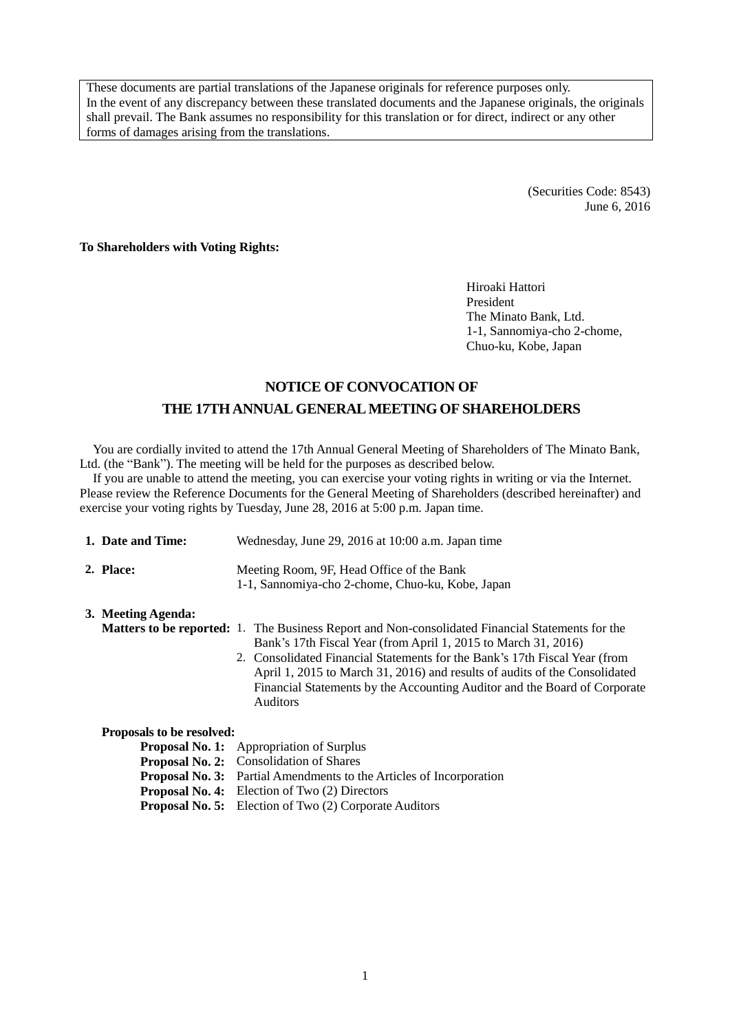These documents are partial translations of the Japanese originals for reference purposes only. In the event of any discrepancy between these translated documents and the Japanese originals, the originals shall prevail. The Bank assumes no responsibility for this translation or for direct, indirect or any other forms of damages arising from the translations.

> (Securities Code: 8543) June 6, 2016

**To Shareholders with Voting Rights:**

Hiroaki Hattori President The Minato Bank, Ltd. 1-1, Sannomiya-cho 2-chome, Chuo-ku, Kobe, Japan

# **NOTICE OF CONVOCATION OF THE 17THANNUAL GENERAL MEETING OF SHAREHOLDERS**

You are cordially invited to attend the 17th Annual General Meeting of Shareholders of The Minato Bank, Ltd. (the "Bank"). The meeting will be held for the purposes as described below.

If you are unable to attend the meeting, you can exercise your voting rights in writing or via the Internet. Please review the Reference Documents for the General Meeting of Shareholders (described hereinafter) and exercise your voting rights by Tuesday, June 28, 2016 at 5:00 p.m. Japan time.

| 1. Date and Time:         | Wednesday, June 29, 2016 at 10:00 a.m. Japan time                                                                                                                                                                                                                                                                                                                                                                                     |  |  |  |  |  |  |
|---------------------------|---------------------------------------------------------------------------------------------------------------------------------------------------------------------------------------------------------------------------------------------------------------------------------------------------------------------------------------------------------------------------------------------------------------------------------------|--|--|--|--|--|--|
| 2. Place:                 | Meeting Room, 9F, Head Office of the Bank<br>1-1, Sannomiya-cho 2-chome, Chuo-ku, Kobe, Japan                                                                                                                                                                                                                                                                                                                                         |  |  |  |  |  |  |
| 3. Meeting Agenda:        | <b>Matters to be reported:</b> 1. The Business Report and Non-consolidated Financial Statements for the<br>Bank's 17th Fiscal Year (from April 1, 2015 to March 31, 2016)<br>2. Consolidated Financial Statements for the Bank's 17th Fiscal Year (from<br>April 1, 2015 to March 31, 2016) and results of audits of the Consolidated<br>Financial Statements by the Accounting Auditor and the Board of Corporate<br><b>Auditors</b> |  |  |  |  |  |  |
| Proposals to be resolved: |                                                                                                                                                                                                                                                                                                                                                                                                                                       |  |  |  |  |  |  |
|                           | <b>Proposal No. 1:</b> Appropriation of Surplus                                                                                                                                                                                                                                                                                                                                                                                       |  |  |  |  |  |  |
|                           | Proposal No. 2: Consolidation of Shares                                                                                                                                                                                                                                                                                                                                                                                               |  |  |  |  |  |  |
|                           | <b>Proposal No. 3:</b> Partial Amendments to the Articles of Incorporation                                                                                                                                                                                                                                                                                                                                                            |  |  |  |  |  |  |
|                           | <b>Proposal No. 4:</b> Election of Two (2) Directors                                                                                                                                                                                                                                                                                                                                                                                  |  |  |  |  |  |  |

**Proposal No. 5:** Election of Two (2) Corporate Auditors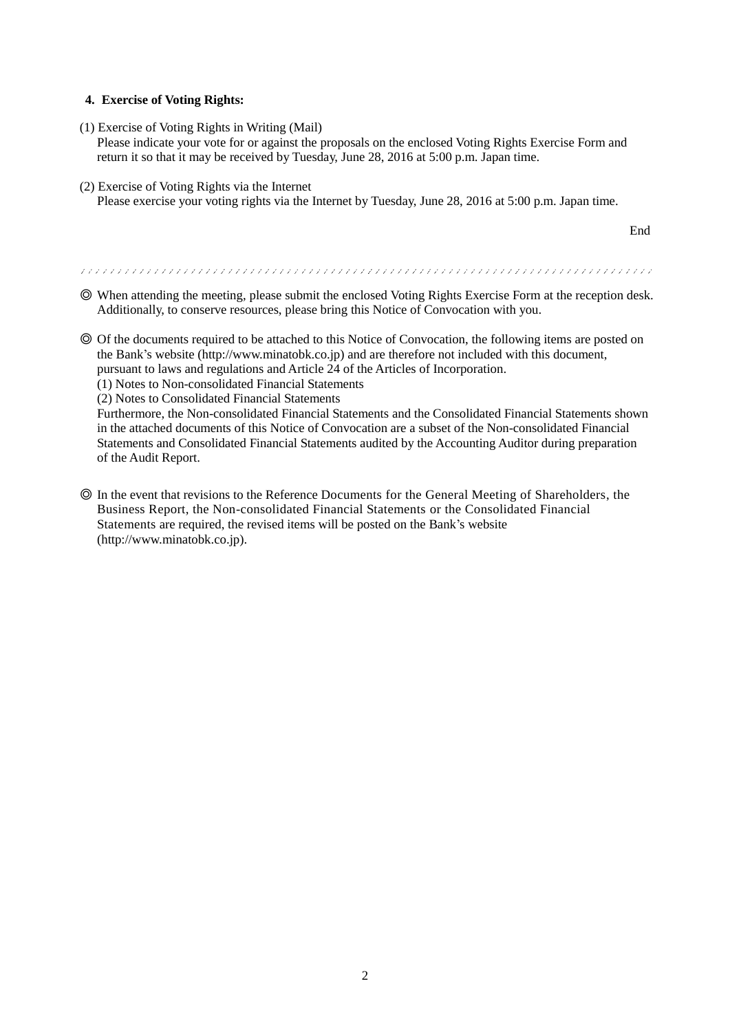# **4. Exercise of Voting Rights:**

(1) Exercise of Voting Rights in Writing (Mail)

Please indicate your vote for or against the proposals on the enclosed Voting Rights Exercise Form and return it so that it may be received by Tuesday, June 28, 2016 at 5:00 p.m. Japan time.

(2) Exercise of Voting Rights via the Internet Please exercise your voting rights via the Internet by Tuesday, June 28, 2016 at 5:00 p.m. Japan time.

End

◎ When attending the meeting, please submit the enclosed Voting Rights Exercise Form at the reception desk. Additionally, to conserve resources, please bring this Notice of Convocation with you.

- ◎ Of the documents required to be attached to this Notice of Convocation, the following items are posted on the Bank's website (http://www.minatobk.co.jp) and are therefore not included with this document, pursuant to laws and regulations and Article 24 of the Articles of Incorporation.
	- (1) Notes to Non-consolidated Financial Statements
	- (2) Notes to Consolidated Financial Statements

Furthermore, the Non-consolidated Financial Statements and the Consolidated Financial Statements shown in the attached documents of this Notice of Convocation are a subset of the Non-consolidated Financial Statements and Consolidated Financial Statements audited by the Accounting Auditor during preparation of the Audit Report.

◎ In the event that revisions to the Reference Documents for the General Meeting of Shareholders, the Business Report, the Non-consolidated Financial Statements or the Consolidated Financial Statements are required, the revised items will be posted on the Bank's website (http://www.minatobk.co.jp).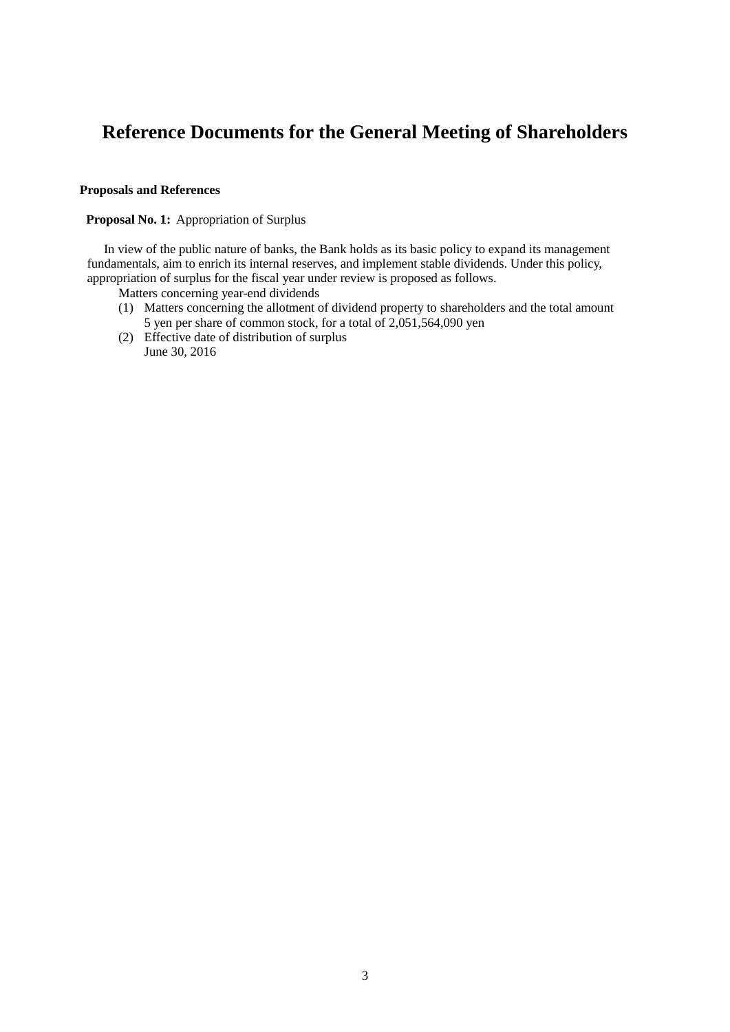# **Reference Documents for the General Meeting of Shareholders**

# **Proposals and References**

#### **Proposal No. 1:** Appropriation of Surplus

In view of the public nature of banks, the Bank holds as its basic policy to expand its management fundamentals, aim to enrich its internal reserves, and implement stable dividends. Under this policy, appropriation of surplus for the fiscal year under review is proposed as follows.

- Matters concerning year-end dividends
- (1) Matters concerning the allotment of dividend property to shareholders and the total amount 5 yen per share of common stock, for a total of 2,051,564,090 yen
- (2) Effective date of distribution of surplus June 30, 2016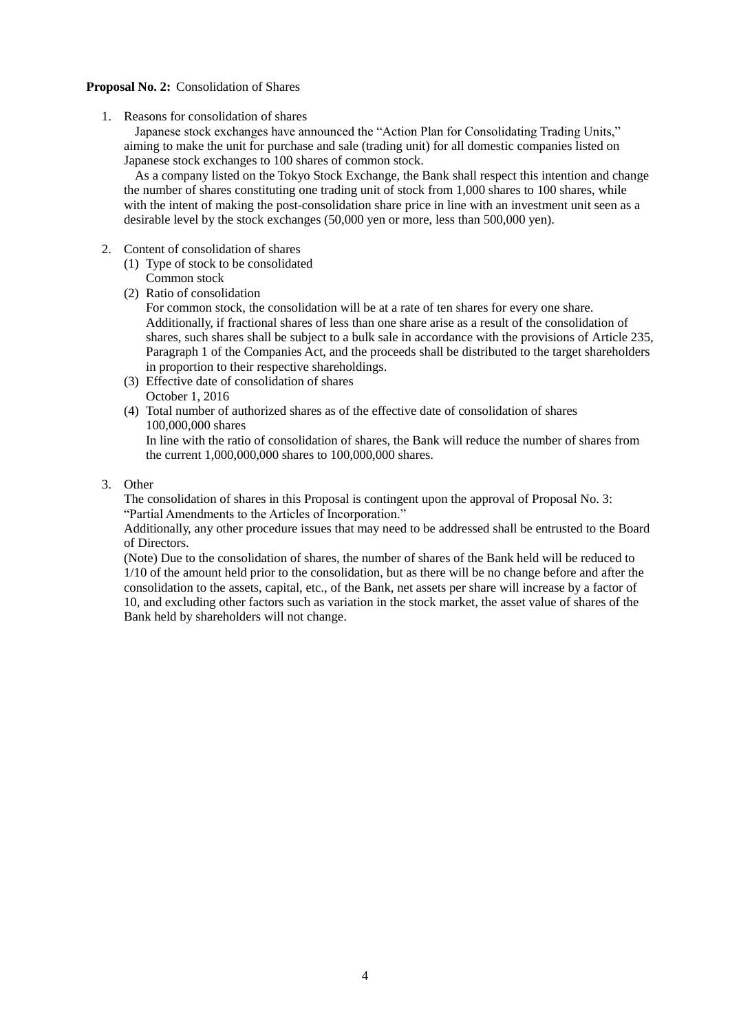## **Proposal No. 2:** Consolidation of Shares

1. Reasons for consolidation of shares

Japanese stock exchanges have announced the "Action Plan for Consolidating Trading Units," aiming to make the unit for purchase and sale (trading unit) for all domestic companies listed on Japanese stock exchanges to 100 shares of common stock.

As a company listed on the Tokyo Stock Exchange, the Bank shall respect this intention and change the number of shares constituting one trading unit of stock from 1,000 shares to 100 shares, while with the intent of making the post-consolidation share price in line with an investment unit seen as a desirable level by the stock exchanges (50,000 yen or more, less than 500,000 yen).

- 2. Content of consolidation of shares
	- (1) Type of stock to be consolidated Common stock
	- (2) Ratio of consolidation

For common stock, the consolidation will be at a rate of ten shares for every one share. Additionally, if fractional shares of less than one share arise as a result of the consolidation of shares, such shares shall be subject to a bulk sale in accordance with the provisions of Article 235, Paragraph 1 of the Companies Act, and the proceeds shall be distributed to the target shareholders in proportion to their respective shareholdings.

- (3) Effective date of consolidation of shares October 1, 2016
- (4) Total number of authorized shares as of the effective date of consolidation of shares 100,000,000 shares

In line with the ratio of consolidation of shares, the Bank will reduce the number of shares from the current 1,000,000,000 shares to 100,000,000 shares.

3. Other

The consolidation of shares in this Proposal is contingent upon the approval of Proposal No. 3: "Partial Amendments to the Articles of Incorporation."

Additionally, any other procedure issues that may need to be addressed shall be entrusted to the Board of Directors.

(Note) Due to the consolidation of shares, the number of shares of the Bank held will be reduced to 1/10 of the amount held prior to the consolidation, but as there will be no change before and after the consolidation to the assets, capital, etc., of the Bank, net assets per share will increase by a factor of 10, and excluding other factors such as variation in the stock market, the asset value of shares of the Bank held by shareholders will not change.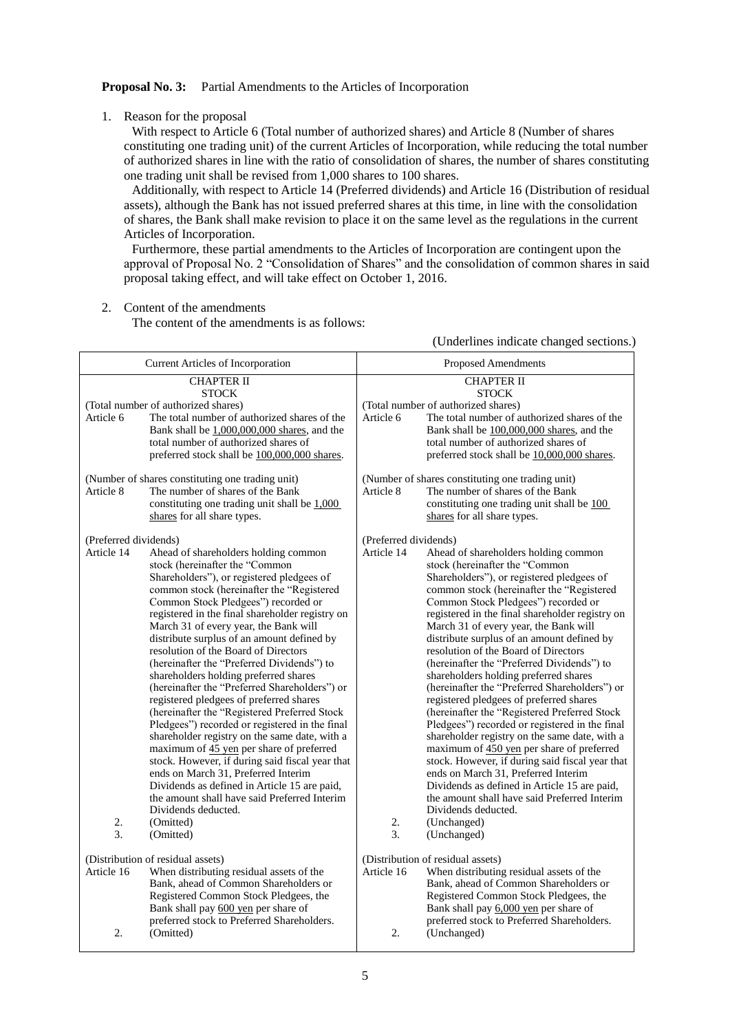#### **Proposal No. 3:** Partial Amendments to the Articles of Incorporation

1. Reason for the proposal

With respect to Article 6 (Total number of authorized shares) and Article 8 (Number of shares constituting one trading unit) of the current Articles of Incorporation, while reducing the total number of authorized shares in line with the ratio of consolidation of shares, the number of shares constituting one trading unit shall be revised from 1,000 shares to 100 shares.

Additionally, with respect to Article 14 (Preferred dividends) and Article 16 (Distribution of residual assets), although the Bank has not issued preferred shares at this time, in line with the consolidation of shares, the Bank shall make revision to place it on the same level as the regulations in the current Articles of Incorporation.

Furthermore, these partial amendments to the Articles of Incorporation are contingent upon the approval of Proposal No. 2 "Consolidation of Shares" and the consolidation of common shares in said proposal taking effect, and will take effect on October 1, 2016.

2. Content of the amendments

The content of the amendments is as follows:

(Underlines indicate changed sections.)

| Current Articles of Incorporation                | <b>Proposed Amendments</b>                       |  |  |
|--------------------------------------------------|--------------------------------------------------|--|--|
| <b>CHAPTER II</b>                                | <b>CHAPTER II</b>                                |  |  |
| <b>STOCK</b>                                     | <b>STOCK</b>                                     |  |  |
| (Total number of authorized shares)              | (Total number of authorized shares)              |  |  |
| The total number of authorized shares of the     | The total number of authorized shares of the     |  |  |
| Article 6                                        | Article 6                                        |  |  |
| Bank shall be $1,000,000,000$ shares, and the    | Bank shall be 100,000,000 shares, and the        |  |  |
| total number of authorized shares of             | total number of authorized shares of             |  |  |
| preferred stock shall be 100,000,000 shares.     | preferred stock shall be 10,000,000 shares.      |  |  |
| (Number of shares constituting one trading unit) | (Number of shares constituting one trading unit) |  |  |
| The number of shares of the Bank                 | Article 8                                        |  |  |
| Article 8                                        | The number of shares of the Bank                 |  |  |
| constituting one trading unit shall be $1,000$   | constituting one trading unit shall be 100       |  |  |
| shares for all share types.                      | shares for all share types.                      |  |  |
| (Preferred dividends)                            | (Preferred dividends)                            |  |  |
| Article 14                                       | Article 14                                       |  |  |
| Ahead of shareholders holding common             | Ahead of shareholders holding common             |  |  |
| stock (hereinafter the "Common                   | stock (hereinafter the "Common                   |  |  |
| Shareholders"), or registered pledgees of        | Shareholders"), or registered pledgees of        |  |  |
| common stock (hereinafter the "Registered        | common stock (hereinafter the "Registered        |  |  |
| Common Stock Pledgees") recorded or              | Common Stock Pledgees") recorded or              |  |  |
| registered in the final shareholder registry on  | registered in the final shareholder registry on  |  |  |
| March 31 of every year, the Bank will            | March 31 of every year, the Bank will            |  |  |
| distribute surplus of an amount defined by       | distribute surplus of an amount defined by       |  |  |
| resolution of the Board of Directors             | resolution of the Board of Directors             |  |  |
| (hereinafter the "Preferred Dividends") to       | (hereinafter the "Preferred Dividends") to       |  |  |
| shareholders holding preferred shares            | shareholders holding preferred shares            |  |  |
| (hereinafter the "Preferred Shareholders") or    | (hereinafter the "Preferred Shareholders") or    |  |  |
| registered pledgees of preferred shares          | registered pledgees of preferred shares          |  |  |
| (hereinafter the "Registered Preferred Stock     | (hereinafter the "Registered Preferred Stock     |  |  |
| Pledgees") recorded or registered in the final   | Pledgees") recorded or registered in the final   |  |  |
| shareholder registry on the same date, with a    | shareholder registry on the same date, with a    |  |  |
| maximum of 45 yen per share of preferred         | maximum of 450 yen per share of preferred        |  |  |
| stock. However, if during said fiscal year that  | stock. However, if during said fiscal year that  |  |  |
| ends on March 31, Preferred Interim              | ends on March 31, Preferred Interim              |  |  |
| Dividends as defined in Article 15 are paid,     | Dividends as defined in Article 15 are paid,     |  |  |
| the amount shall have said Preferred Interim     | the amount shall have said Preferred Interim     |  |  |
| Dividends deducted.                              | Dividends deducted.                              |  |  |
| 2.                                               | 2.                                               |  |  |
| (Omitted)                                        | (Unchanged)                                      |  |  |
| 3.                                               | 3.                                               |  |  |
| (Omitted)                                        | (Unchanged)                                      |  |  |
| (Distribution of residual assets)                | (Distribution of residual assets)                |  |  |
| When distributing residual assets of the         | When distributing residual assets of the         |  |  |
| Article 16                                       | Article 16                                       |  |  |
| Bank, ahead of Common Shareholders or            | Bank, ahead of Common Shareholders or            |  |  |
| Registered Common Stock Pledgees, the            | Registered Common Stock Pledgees, the            |  |  |
| Bank shall pay 600 yen per share of              | Bank shall pay 6,000 yen per share of            |  |  |
| preferred stock to Preferred Shareholders.       | preferred stock to Preferred Shareholders.       |  |  |
| 2.                                               | 2.                                               |  |  |
| (Omitted)                                        | (Unchanged)                                      |  |  |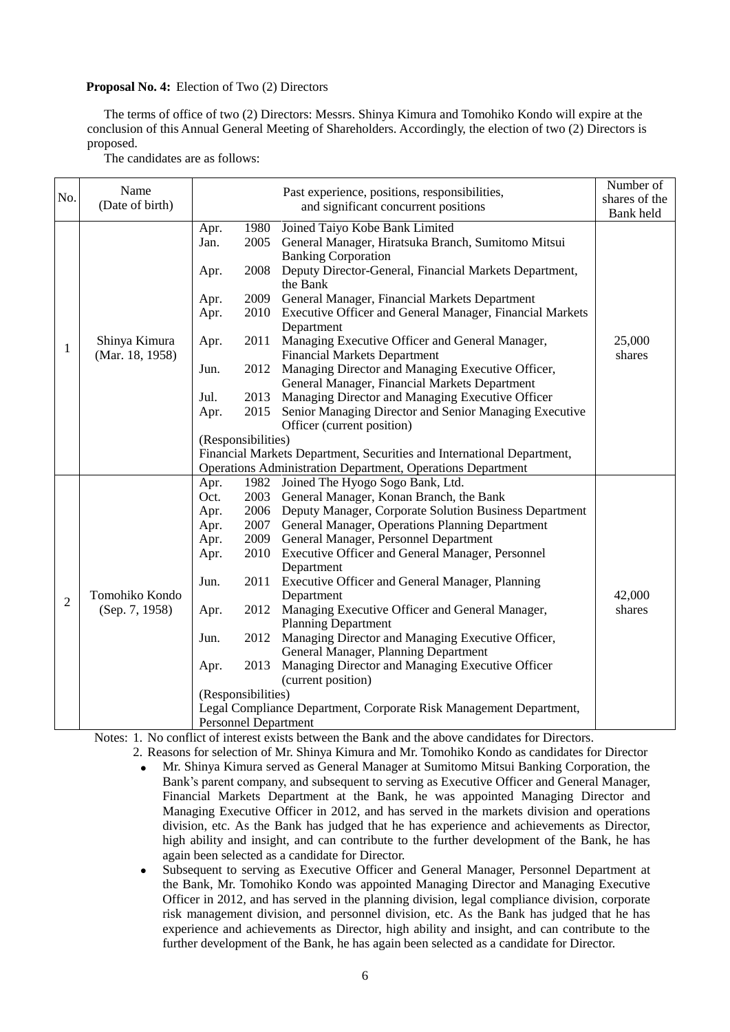#### **Proposal No. 4:** Election of Two (2) Directors

The terms of office of two (2) Directors: Messrs. Shinya Kimura and Tomohiko Kondo will expire at the conclusion of this Annual General Meeting of Shareholders. Accordingly, the election of two (2) Directors is proposed.

The candidates are as follows:

|                | Name                             |                                                                        |      |                                                                                                | Number of     |
|----------------|----------------------------------|------------------------------------------------------------------------|------|------------------------------------------------------------------------------------------------|---------------|
| No.            | (Date of birth)                  |                                                                        |      | Past experience, positions, responsibilities,<br>and significant concurrent positions          | shares of the |
|                |                                  |                                                                        |      |                                                                                                | Bank held     |
|                | Shinya Kimura<br>(Mar. 18, 1958) | Apr.                                                                   |      | 1980 Joined Taiyo Kobe Bank Limited                                                            |               |
|                |                                  | Jan.                                                                   |      | 2005 General Manager, Hiratsuka Branch, Sumitomo Mitsui                                        | 25,000        |
|                |                                  |                                                                        |      | <b>Banking Corporation</b>                                                                     |               |
|                |                                  | Apr.                                                                   |      | 2008 Deputy Director-General, Financial Markets Department,<br>the Bank                        |               |
|                |                                  | Apr.                                                                   |      | 2009 General Manager, Financial Markets Department                                             |               |
|                |                                  | Apr.                                                                   |      | 2010 Executive Officer and General Manager, Financial Markets                                  |               |
|                |                                  |                                                                        |      | Department                                                                                     |               |
| 1              |                                  | Apr.                                                                   | 2011 | Managing Executive Officer and General Manager,                                                |               |
|                |                                  |                                                                        |      | <b>Financial Markets Department</b>                                                            | shares        |
|                |                                  | Jun.                                                                   | 2012 | Managing Director and Managing Executive Officer,                                              |               |
|                |                                  |                                                                        |      | General Manager, Financial Markets Department                                                  |               |
|                |                                  | Jul.                                                                   |      | 2013 Managing Director and Managing Executive Officer                                          |               |
|                |                                  | Apr.                                                                   | 2015 | Senior Managing Director and Senior Managing Executive                                         |               |
|                |                                  |                                                                        |      | Officer (current position)                                                                     |               |
|                |                                  | (Responsibilities)                                                     |      |                                                                                                |               |
|                |                                  | Financial Markets Department, Securities and International Department, |      |                                                                                                |               |
|                |                                  |                                                                        |      | <b>Operations Administration Department, Operations Department</b>                             |               |
|                | Tomohiko Kondo<br>(Sep. 7, 1958) | Apr.                                                                   |      | 1982 Joined The Hyogo Sogo Bank, Ltd.                                                          |               |
|                |                                  | Oct.                                                                   |      | 2003 General Manager, Konan Branch, the Bank                                                   |               |
|                |                                  | Apr.                                                                   |      | 2006 Deputy Manager, Corporate Solution Business Department                                    |               |
|                |                                  | Apr.                                                                   |      | 2007 General Manager, Operations Planning Department                                           |               |
|                |                                  | Apr.                                                                   |      | 2009 General Manager, Personnel Department                                                     |               |
|                |                                  | Apr.                                                                   |      | 2010 Executive Officer and General Manager, Personnel                                          |               |
|                |                                  |                                                                        |      | Department                                                                                     |               |
|                |                                  | Jun.                                                                   |      | 2011 Executive Officer and General Manager, Planning                                           |               |
| $\overline{2}$ |                                  |                                                                        |      | Department                                                                                     | 42,000        |
|                |                                  | Apr.                                                                   |      | 2012 Managing Executive Officer and General Manager,                                           | shares        |
|                |                                  |                                                                        |      | <b>Planning Department</b>                                                                     |               |
|                |                                  | Jun.                                                                   |      | 2012 Managing Director and Managing Executive Officer,<br>General Manager, Planning Department |               |
|                |                                  | Apr.                                                                   | 2013 | Managing Director and Managing Executive Officer                                               |               |
|                |                                  |                                                                        |      | (current position)                                                                             |               |
|                |                                  | (Responsibilities)                                                     |      |                                                                                                |               |
|                |                                  |                                                                        |      | Legal Compliance Department, Corporate Risk Management Department,                             |               |
|                |                                  | <b>Personnel Department</b>                                            |      |                                                                                                |               |

Notes: 1. No conflict of interest exists between the Bank and the above candidates for Directors.

- 2. Reasons for selection of Mr. Shinya Kimura and Mr. Tomohiko Kondo as candidates for Director Mr. Shinya Kimura served as General Manager at Sumitomo Mitsui Banking Corporation, the Bank's parent company, and subsequent to serving as Executive Officer and General Manager, Financial Markets Department at the Bank, he was appointed Managing Director and Managing Executive Officer in 2012, and has served in the markets division and operations division, etc. As the Bank has judged that he has experience and achievements as Director, high ability and insight, and can contribute to the further development of the Bank, he has again been selected as a candidate for Director.
	- Subsequent to serving as Executive Officer and General Manager, Personnel Department at the Bank, Mr. Tomohiko Kondo was appointed Managing Director and Managing Executive Officer in 2012, and has served in the planning division, legal compliance division, corporate risk management division, and personnel division, etc. As the Bank has judged that he has experience and achievements as Director, high ability and insight, and can contribute to the further development of the Bank, he has again been selected as a candidate for Director.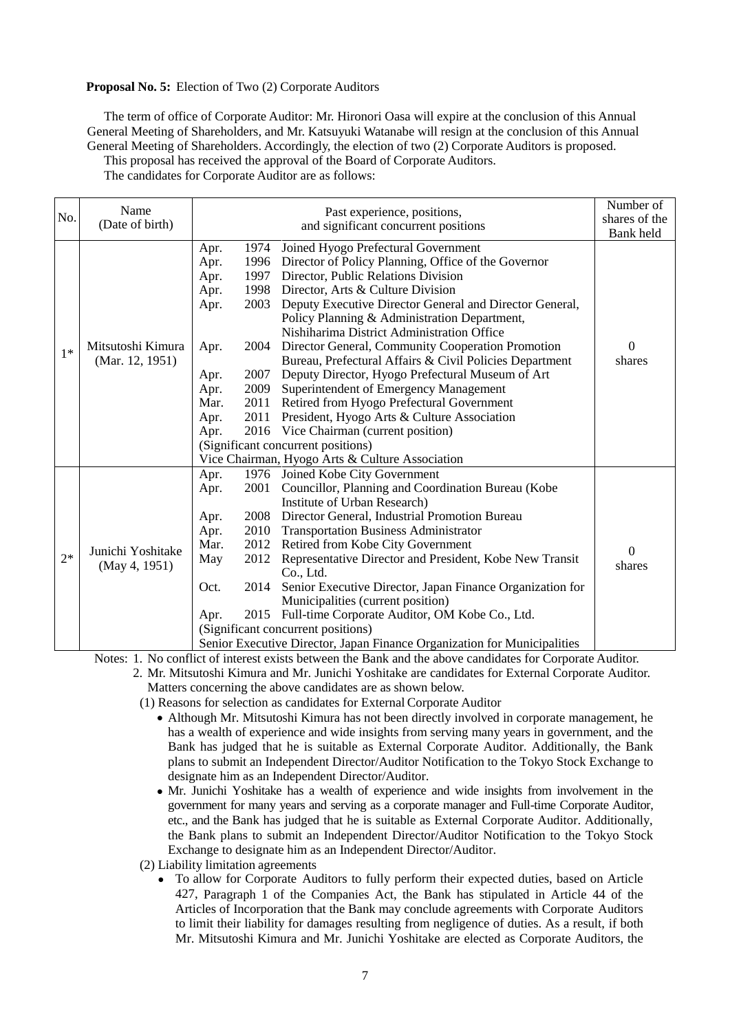#### **Proposal No. 5:** Election of Two (2) Corporate Auditors

The term of office of Corporate Auditor: Mr. Hironori Oasa will expire at the conclusion of this Annual General Meeting of Shareholders, and Mr. Katsuyuki Watanabe will resign at the conclusion of this Annual General Meeting of Shareholders. Accordingly, the election of two (2) Corporate Auditors is proposed. This proposal has received the approval of the Board of Corporate Auditors.

The candidates for Corporate Auditor are as follows:

| No.  | Name<br>(Date of birth)              |                                                                                                                                                      | Past experience, positions,<br>and significant concurrent positions                                                                                                                                                                                                                                                                                                                                                                                                                                                                                                                                                                                                                                                                                                                   | Number of<br>shares of the<br>Bank held |
|------|--------------------------------------|------------------------------------------------------------------------------------------------------------------------------------------------------|---------------------------------------------------------------------------------------------------------------------------------------------------------------------------------------------------------------------------------------------------------------------------------------------------------------------------------------------------------------------------------------------------------------------------------------------------------------------------------------------------------------------------------------------------------------------------------------------------------------------------------------------------------------------------------------------------------------------------------------------------------------------------------------|-----------------------------------------|
| $1*$ | Mitsutoshi Kimura<br>(Mar. 12, 1951) | Apr.<br>1996<br>Apr.<br>Apr.<br>1997<br>Apr.<br>2003<br>Apr.<br>Apr.<br>2004<br>2007<br>Apr.<br>2009<br>Apr.<br>Mar.<br>2011<br>2011<br>Apr.<br>Apr. | 1974 Joined Hyogo Prefectural Government<br>Director of Policy Planning, Office of the Governor<br>Director, Public Relations Division<br>1998 Director, Arts & Culture Division<br>Deputy Executive Director General and Director General,<br>Policy Planning & Administration Department,<br>Nishiharima District Administration Office<br>Director General, Community Cooperation Promotion<br>Bureau, Prefectural Affairs & Civil Policies Department<br>Deputy Director, Hyogo Prefectural Museum of Art<br>Superintendent of Emergency Management<br>Retired from Hyogo Prefectural Government<br>President, Hyogo Arts & Culture Association<br>2016 Vice Chairman (current position)<br>(Significant concurrent positions)<br>Vice Chairman, Hyogo Arts & Culture Association | $\mathbf{0}$<br>shares                  |
| $2*$ | Junichi Yoshitake<br>(May 4, 1951)   | Apr.<br>2001<br>Apr.<br>Apr.<br>2010<br>Apr.<br>Mar.<br>2012<br>May<br>2012<br>Oct.<br>2014<br>2015<br>Apr.                                          | 1976 Joined Kobe City Government<br>Councillor, Planning and Coordination Bureau (Kobe<br>Institute of Urban Research)<br>2008 Director General, Industrial Promotion Bureau<br><b>Transportation Business Administrator</b><br>Retired from Kobe City Government<br>Representative Director and President, Kobe New Transit<br>Co., Ltd.<br>Senior Executive Director, Japan Finance Organization for<br>Municipalities (current position)<br>Full-time Corporate Auditor, OM Kobe Co., Ltd.<br>(Significant concurrent positions)<br>Senior Executive Director, Japan Finance Organization for Municipalities                                                                                                                                                                       | $\theta$<br>shares                      |

Notes: 1. No conflict of interest exists between the Bank and the above candidates for Corporate Auditor.

2. Mr. Mitsutoshi Kimura and Mr. Junichi Yoshitake are candidates for External Corporate Auditor. Matters concerning the above candidates are as shown below.

(1) Reasons for selection as candidates for External Corporate Auditor

- Although Mr. Mitsutoshi Kimura has not been directly involved in corporate management, he has a wealth of experience and wide insights from serving many years in government, and the Bank has judged that he is suitable as External Corporate Auditor. Additionally, the Bank plans to submit an Independent Director/Auditor Notification to the Tokyo Stock Exchange to designate him as an Independent Director/Auditor.
- Mr. Junichi Yoshitake has a wealth of experience and wide insights from involvement in the government for many years and serving as a corporate manager and Full-time Corporate Auditor, etc., and the Bank has judged that he is suitable as External Corporate Auditor. Additionally, the Bank plans to submit an Independent Director/Auditor Notification to the Tokyo Stock Exchange to designate him as an Independent Director/Auditor.
- (2) Liability limitation agreements
	- To allow for Corporate Auditors to fully perform their expected duties, based on Article 427, Paragraph 1 of the Companies Act, the Bank has stipulated in Article 44 of the Articles of Incorporation that the Bank may conclude agreements with Corporate Auditors to limit their liability for damages resulting from negligence of duties. As a result, if both Mr. Mitsutoshi Kimura and Mr. Junichi Yoshitake are elected as Corporate Auditors, the